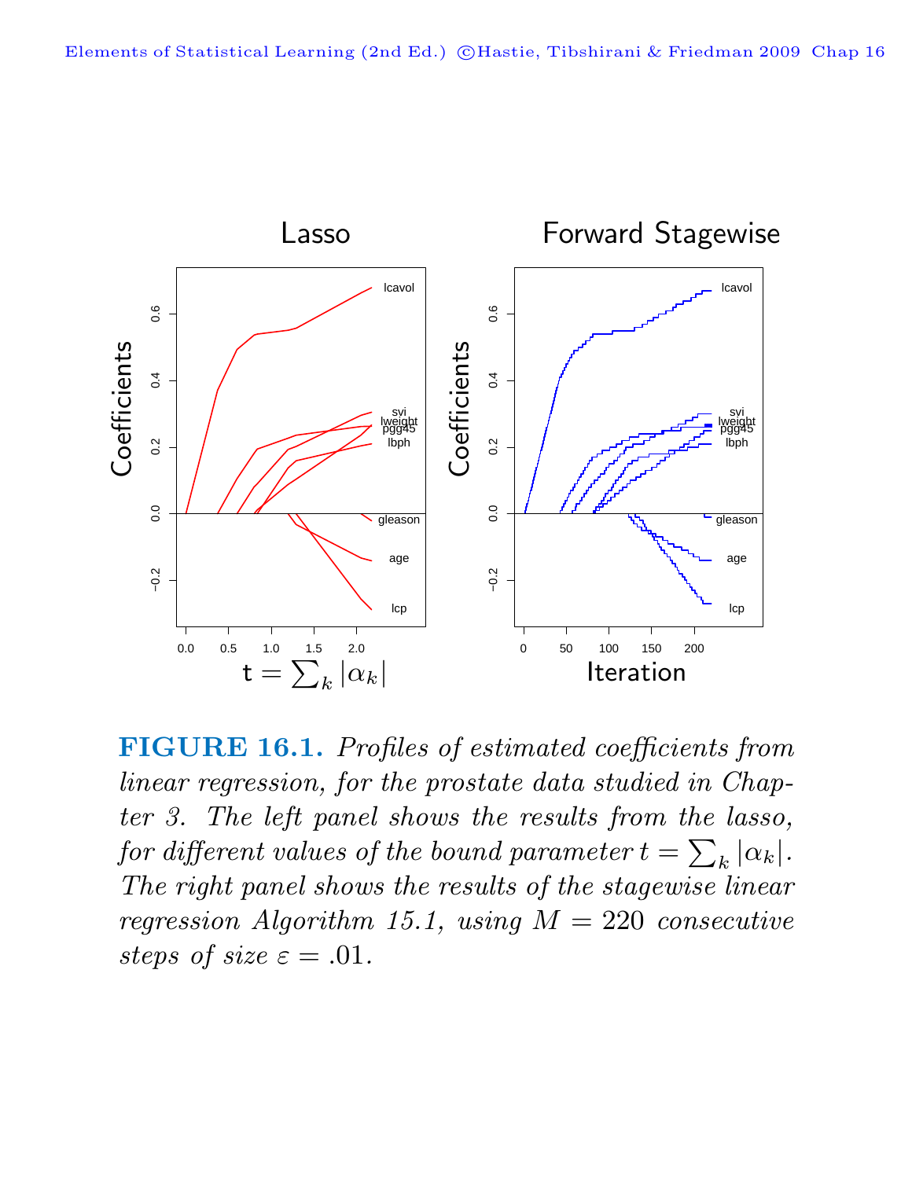

**FIGURE 16.1.** Profiles of estimated coefficients from linear regression, for the prostate data studied in Chapter 3. The left panel shows the results from the lasso, for different values of the bound parameter  $t = \sum_{k} |\alpha_k|$ . The right panel shows the results of the stagewise linear regression Algorithm 15.1, using  $M = 220$  consecutive steps of size  $\varepsilon = .01$ .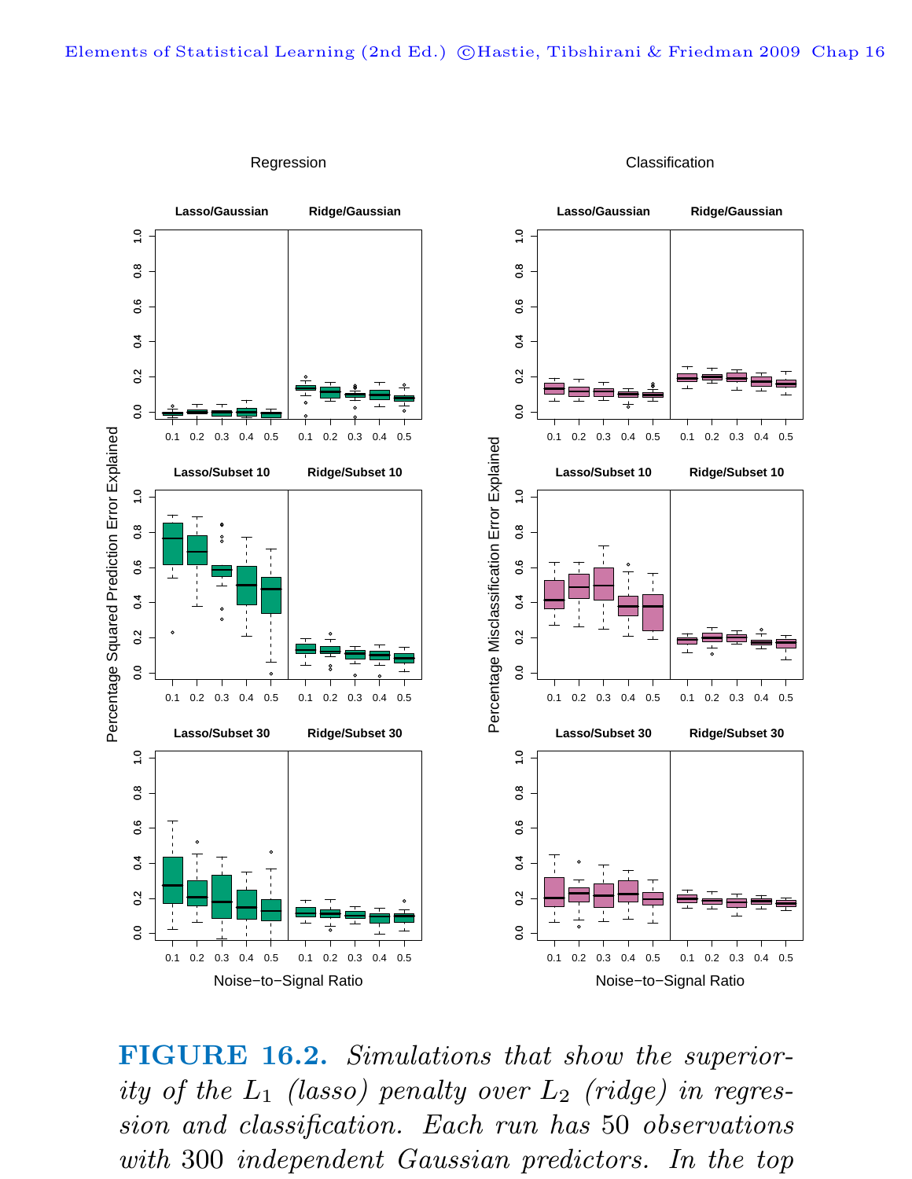

Regression

Classification

**FIGURE 16.2.** Simulations that show the superiority of the  $L_1$  (lasso) penalty over  $L_2$  (ridge) in regression and classification. Each run has 50 observations with 300 independent Gaussian predictors. In the top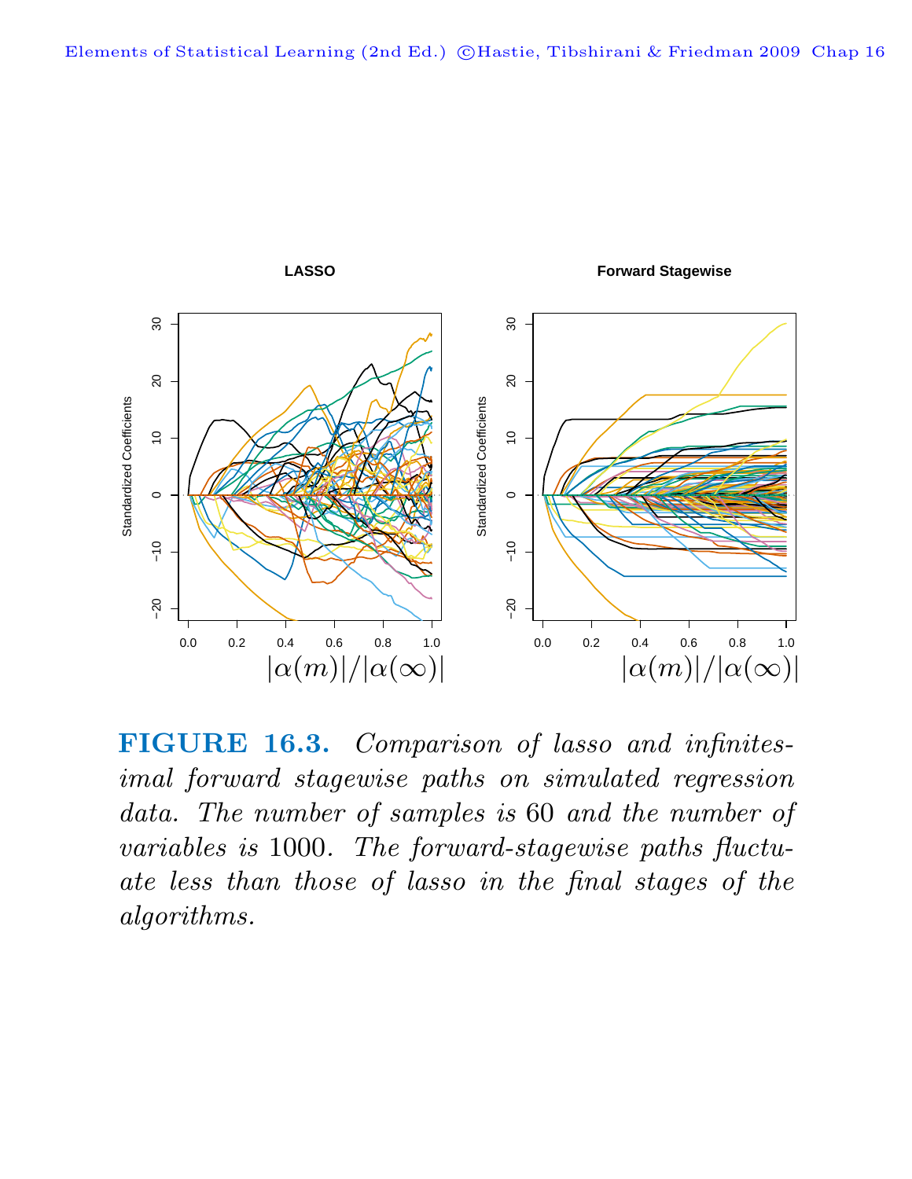

**FIGURE 16.3.** Comparison of lasso and infinitesimal forward stagewise paths on simulated regression data. The number of samples is 60 and the number of variables is 1000. The forward-stagewise paths fluctuate less than those of lasso in the final stages of the algorithms.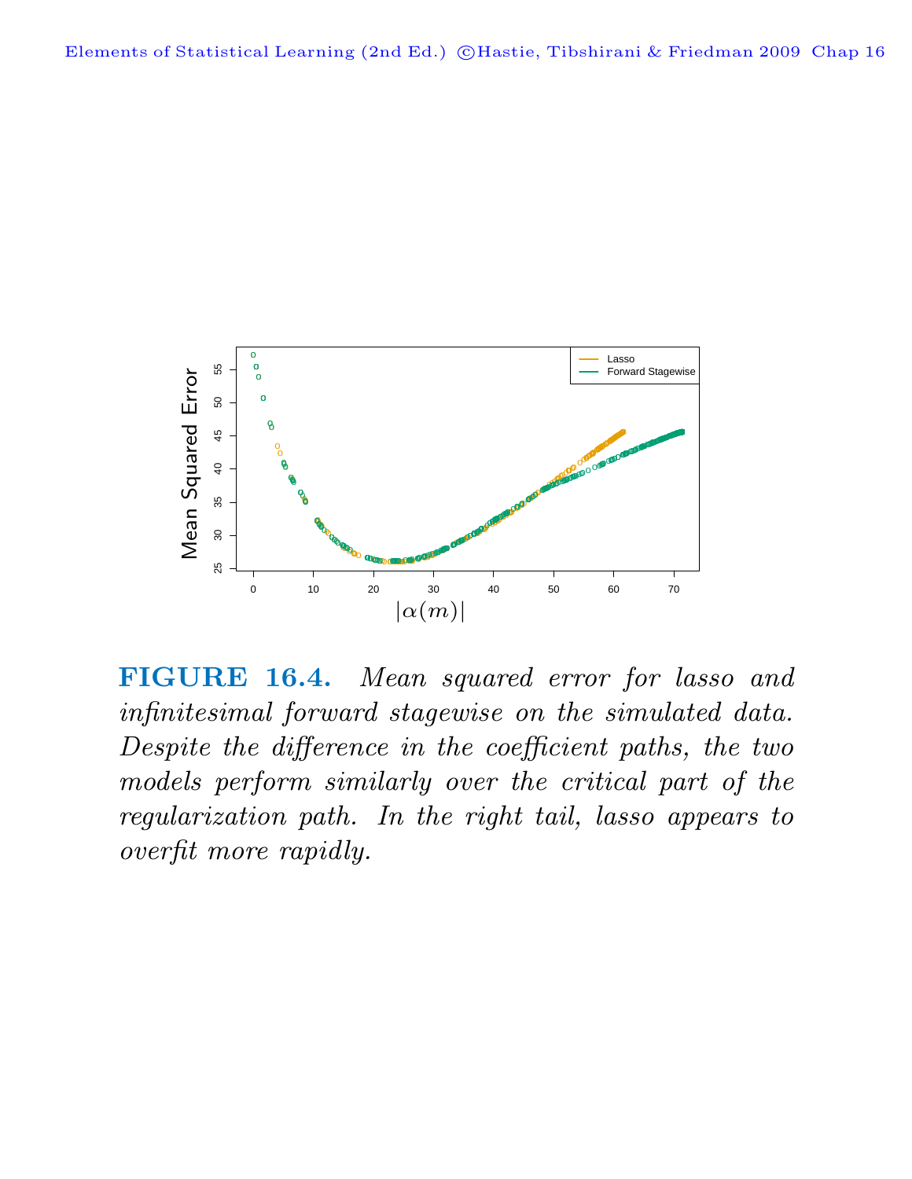

**FIGURE 16.4.** Mean squared error for lasso and infinitesimal forward stagewise on the simulated data. Despite the difference in the coefficient paths, the two models perform similarly over the critical part of the regularization path. In the right tail, lasso appears to overfit more rapidly.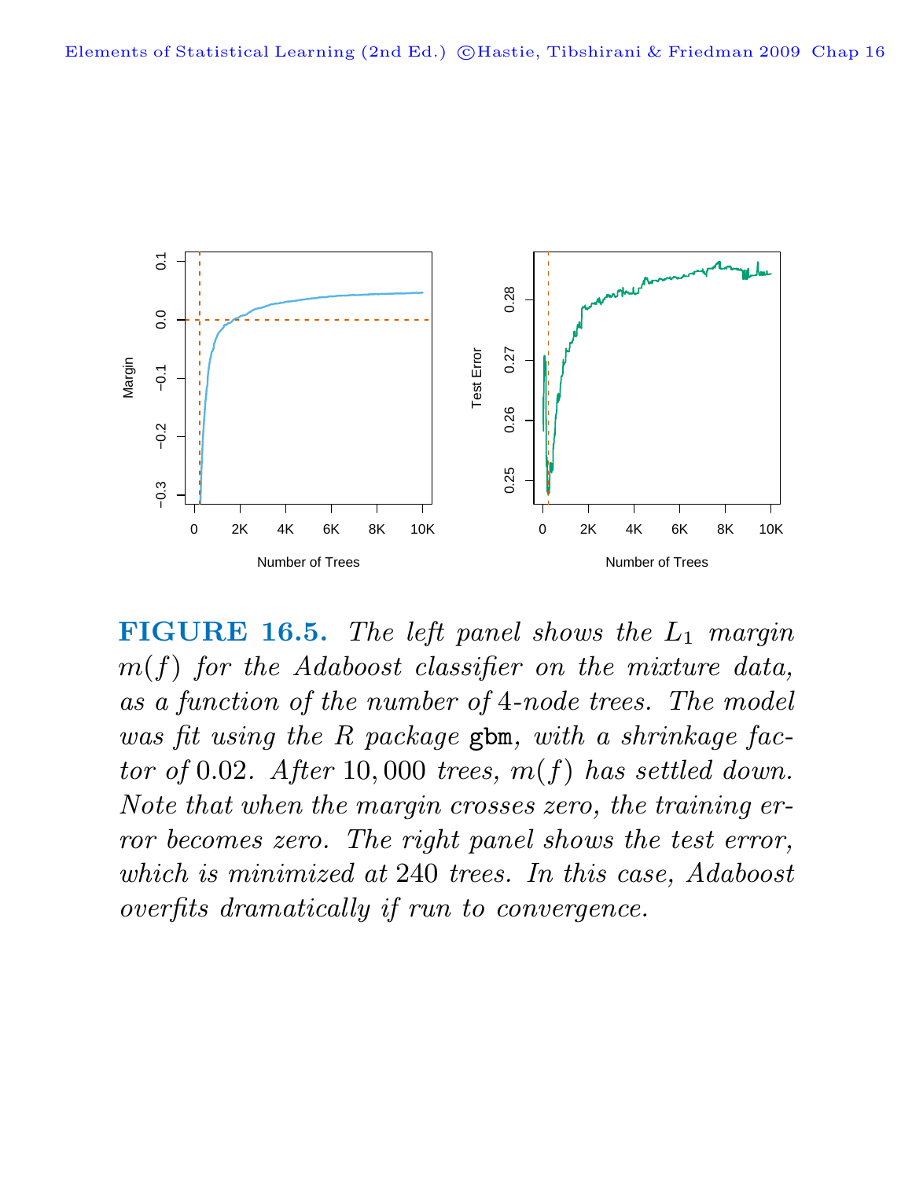

**FIGURE 16.5.** The left panel shows the  $L_1$  margin  $m(f)$  for the Adaboost classifier on the mixture data, as a function of the number of 4-node trees. The model was fit using the R package gbm, with a shrinkage factor of 0.02. After 10,000 trees,  $m(f)$  has settled down. Note that when the margin crosses zero, the training error becomes zero. The right panel shows the test error, which is minimized at 240 trees. In this case, Adaboost overfits dramatically if run to convergence.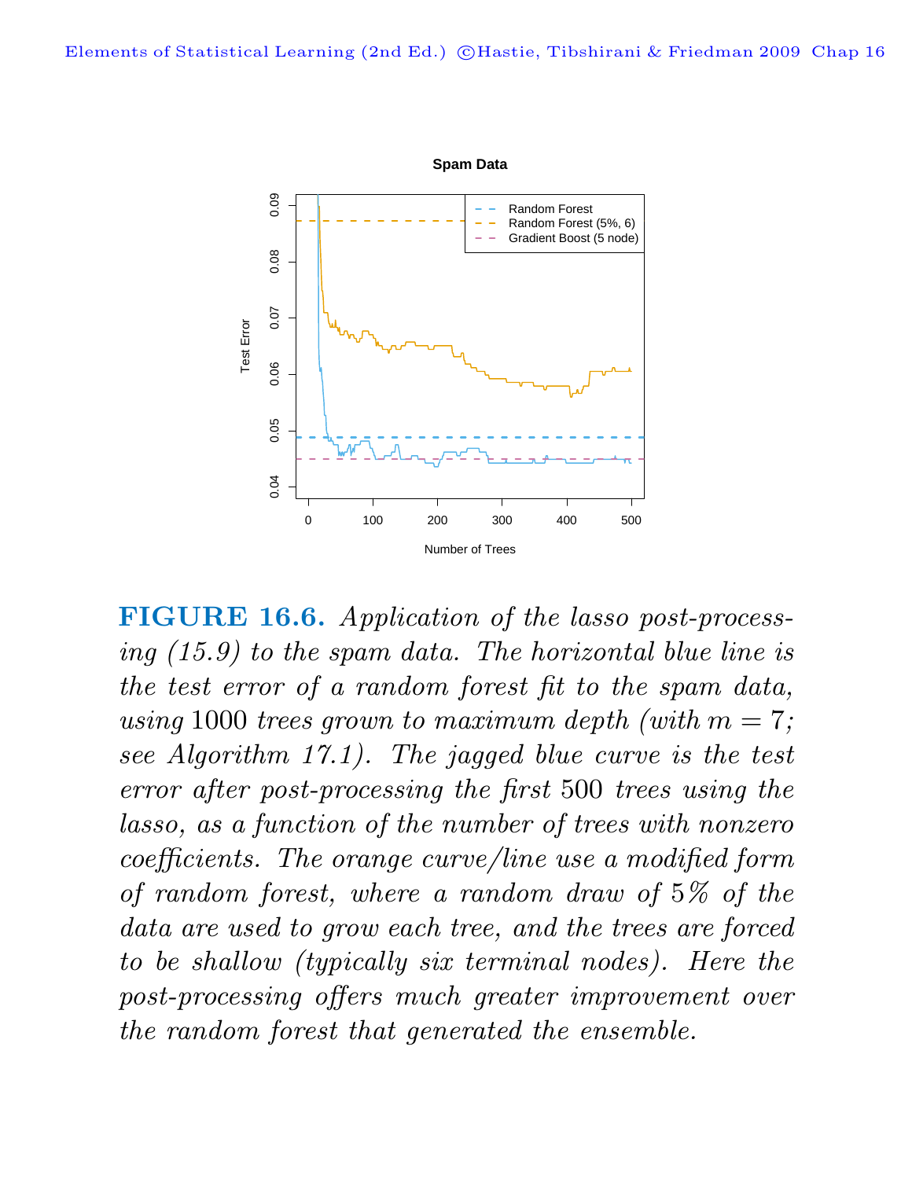

**FIGURE 16.6.** Application of the lasso post-processing (15.9) to the spam data. The horizontal blue line is the test error of a random forest fit to the spam data, using 1000 trees grown to maximum depth (with  $m = 7$ ; see Algorithm 17.1). The jagged blue curve is the test error after post-processing the first 500 trees using the lasso, as a function of the number of trees with nonzero coefficients. The orange curve/line use a modified form of random forest, where a random draw of 5% of the data are used to grow each tree, and the trees are forced to be shallow (typically six terminal nodes). Here the post-processing offers much greater improvement over the random forest that generated the ensemble.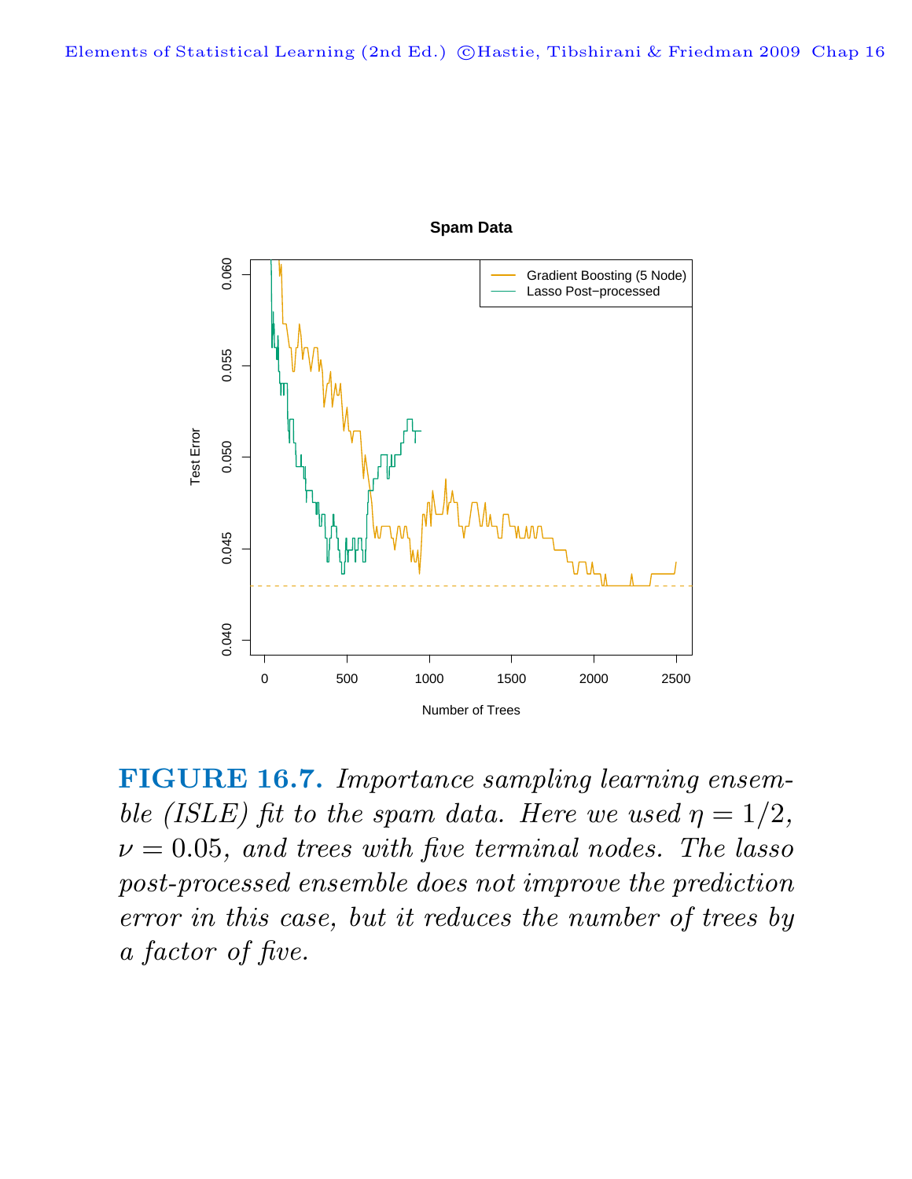

**FIGURE 16.7.** Importance sampling learning ensemble (ISLE) fit to the spam data. Here we used  $\eta = 1/2$ ,  $\nu = 0.05$ , and trees with five terminal nodes. The lasso post-processed ensemble does not improve the prediction error in this case, but it reduces the number of trees by a factor of five.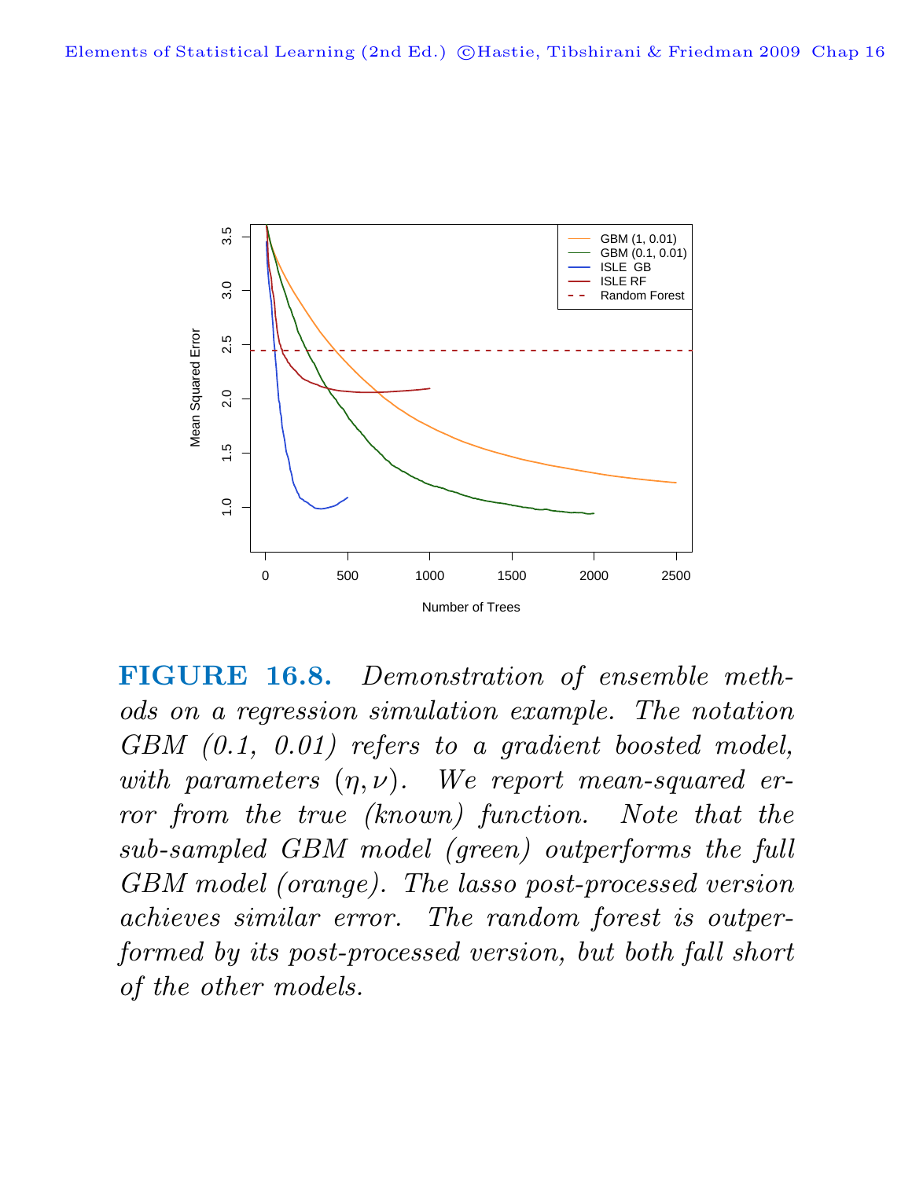

**FIGURE 16.8.** Demonstration of ensemble methods on a regression simulation example. The notation GBM  $(0.1, 0.01)$  refers to a gradient boosted model, with parameters  $(\eta, \nu)$ . We report mean-squared error from the true (known) function. Note that the sub-sampled GBM model (green) outperforms the full GBM model (orange). The lasso post-processed version achieves similar error. The random forest is outperformed by its post-processed version, but both fall short of the other models.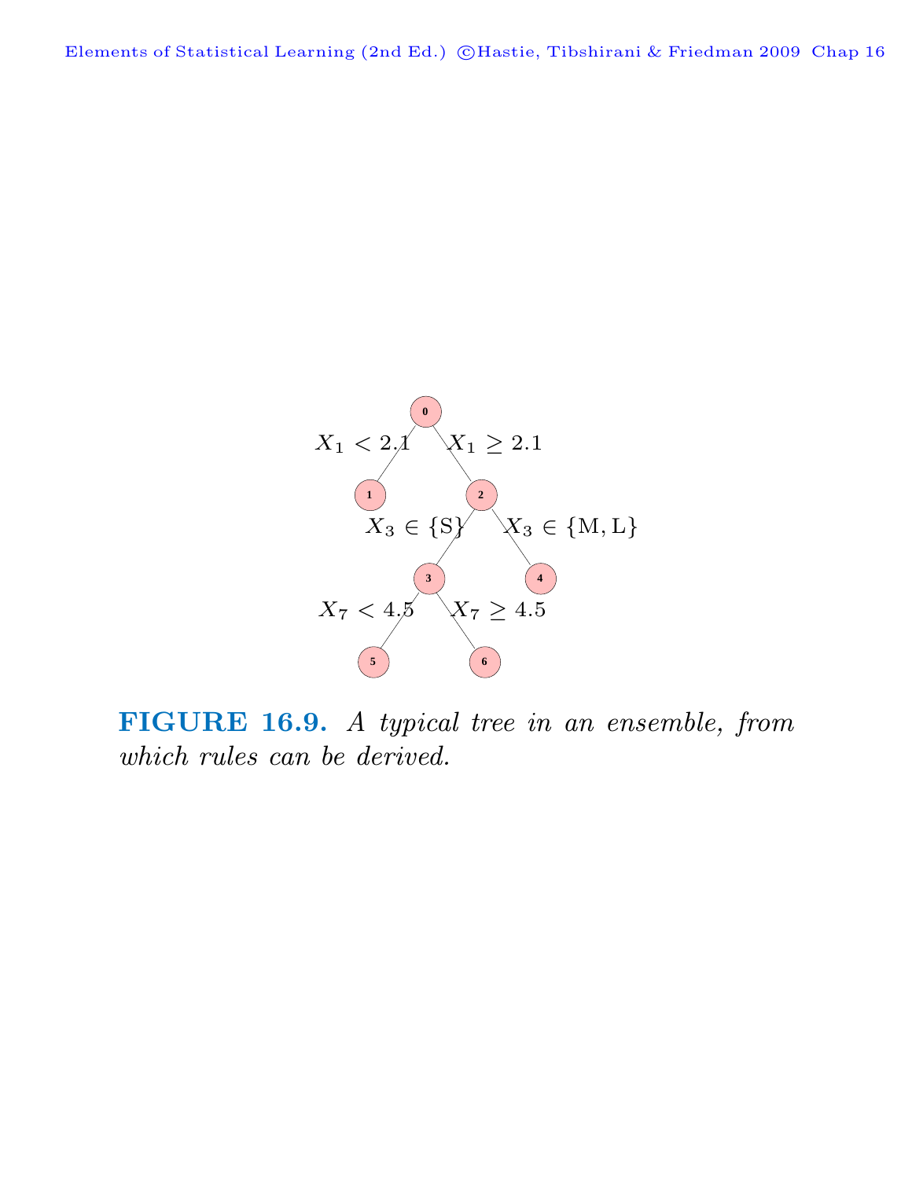Elements of Statistical Learning (2nd Ed.) ©Hastie, Tibshirani & Friedman 2009 Chap 16



**FIGURE 16.9.** A typical tree in an ensemble, from which rules can be derived.